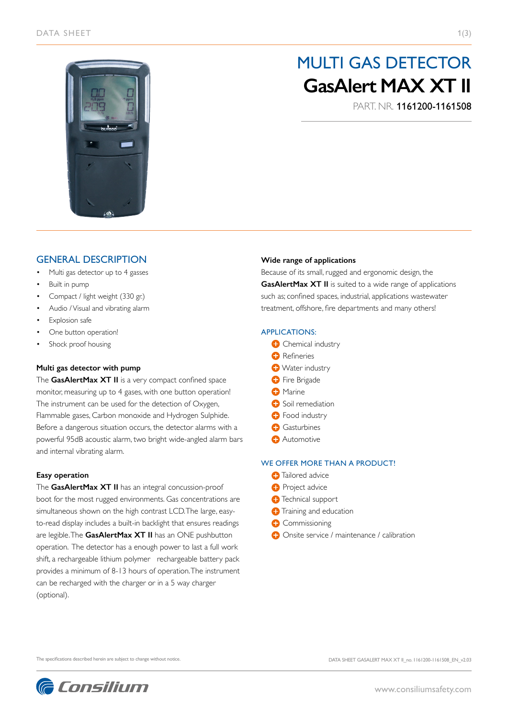

# MULTI GAS DETECTOR **GasAlert MAX XT II**

PART. NR. 1161200-1161508

## GENERAL DESCRIPTION

- Multi gas detector up to 4 gasses
- Built in pump
- Compact / light weight (330 gr.)
- Audio / Visual and vibrating alarm
- **Explosion safe**
- One button operation!
- Shock proof housing

#### **Multi gas detector with pump**

The **GasAlertMax XT II** is a very compact confined space monitor, measuring up to 4 gases, with one button operation! The instrument can be used for the detection of Oxygen, Flammable gases, Carbon monoxide and Hydrogen Sulphide. Before a dangerous situation occurs, the detector alarms with a powerful 95dB acoustic alarm, two bright wide-angled alarm bars and internal vibrating alarm.

#### **Easy operation**

The **GasAlertMax XT II** has an integral concussion-proof boot for the most rugged environments. Gas concentrations are simultaneous shown on the high contrast LCD. The large, easyto-read display includes a built-in backlight that ensures readings are legible. The **GasAlertMax XT II** has an ONE pushbutton operation. The detector has a enough power to last a full work shift, a rechargeable lithium polymer rechargeable battery pack provides a minimum of 8-13 hours of operation. The instrument can be recharged with the charger or in a 5 way charger (optional).

#### **Wide range of applications**

Because of its small, rugged and ergonomic design, the **GasAlertMax XT II** is suited to a wide range of applications such as; confined spaces, industrial, applications wastewater treatment, offshore, fire departments and many others!

#### APPLICATIONS:

- **C** Chemical industry
- **O** Refineries
- **Water industry**
- **O** Fire Brigade
- **O** Marine
- **Soil remediation**
- **O** Food industry
- **Gasturbines**
- **Automotive**

### WE OFFER MORE THAN A PRODUCT!

- **C** Tailored advice
- **Project advice**
- **T**echnical support
- **O** Training and education
- **C** Commissioning
- **Onsite service / maintenance / calibration**

The specifications described herein are subject to change without notice.

**C** Consilium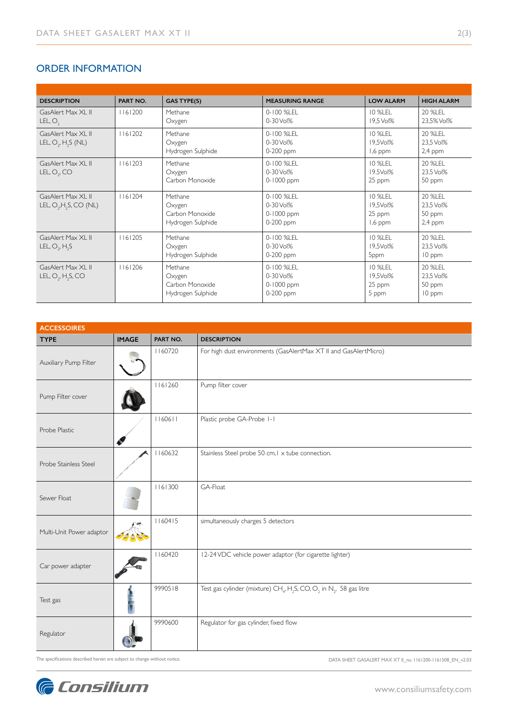## ORDER INFORMATION

| <b>DESCRIPTION</b>                                           | PART NO. | <b>GAS TYPE(S)</b>                                        | <b>MEASURING RANGE</b>                             | <b>LOW ALARM</b>                         | <b>HIGH ALARM</b>                           |
|--------------------------------------------------------------|----------|-----------------------------------------------------------|----------------------------------------------------|------------------------------------------|---------------------------------------------|
| GasAlert Max XI II<br>LEL, O,                                | 1161200  | Methane<br>Oxygen                                         | 0-100 %LEL<br>$0 - 30$ Vol%                        | <b>10 %LEL</b><br>19,5 Vol%              | 20 %LEL<br>23,5% Vol%                       |
| GasAlert Max XI II<br>LEL, $O_2$ , H <sub>2</sub> S (NL)     | 1161202  | Methane<br>Oxygen<br>Hydrogen Sulphide                    | 0-100 %LEL<br>0-30 Vol%<br>0-200 ppm               | 10 %LEL<br>19,5Vol%<br>1,6 ppm           | 20 % FI<br>23,5 Vol%<br>$2,4$ ppm           |
| GasAlert Max XI II<br>LEL, O <sub>2</sub> , CO               | 1161203  | Methane<br>Oxygen<br>Carbon Monoxide                      | 0-100 %LEL<br>0-30 Vol%<br>0-1000 ppm              | 10 %LEL<br>19.5Vol%<br>25 ppm            | 20 % FI<br>23.5 Vol%<br>50 ppm              |
| GasAlert Max XI II<br>LEL, $O_2$ , H <sub>2</sub> S, CO (NL) | 1161204  | Methane<br>Oxygen<br>Carbon Monoxide<br>Hydrogen Sulphide | 0-100 %LEL<br>0-30 Vol%<br>0-1000 ppm<br>0-200 ppm | 10 %LEL<br>19,5Vol%<br>25 ppm<br>1,6 ppm | 20 %LEL<br>23,5 Vol%<br>50 ppm<br>$2,4$ ppm |
| GasAlert Max XI II<br>LEL, $O_2$ , $H_2S$                    | 1161205  | Methane<br>Oxygen<br>Hydrogen Sulphide                    | 0-100 %LEL<br>0-30 Vol%<br>0-200 ppm               | 10 %LEL<br>19.5Vol%<br>5ppm              | 20 %LEL<br>23,5 Vol%<br>10 ppm              |
| GasAlert Max XI II<br>LEL, $O_2$ , H <sub>2</sub> S, CO      | 1161206  | Methane<br>Oxygen<br>Carbon Monoxide<br>Hydrogen Sulphide | 0-100 %LEL<br>0-30 Vol%<br>0-1000 ppm<br>0-200 ppm | 10 %LEL<br>19.5Vol%<br>25 ppm<br>5 ppm   | 20 %LEL<br>23.5 Vol%<br>50 ppm<br>10 ppm    |

| <b>ACCESSOIRES</b>       |              |          |                                                                                                                     |  |  |  |
|--------------------------|--------------|----------|---------------------------------------------------------------------------------------------------------------------|--|--|--|
| <b>TYPE</b>              | <b>IMAGE</b> | PART NO. | <b>DESCRIPTION</b>                                                                                                  |  |  |  |
| Auxiliary Pump Filter    |              | 1160720  | For high dust environments (GasAlertMax XT II and GasAlertMicro)                                                    |  |  |  |
| Pump Filter cover        |              | 1161260  | Pump filter cover                                                                                                   |  |  |  |
| Probe Plastic            |              | 1160611  | Plastic probe GA-Probe 1-1                                                                                          |  |  |  |
| Probe Stainless Steel    |              | 1160632  | Stainless Steel probe 50 cm, I x tube connection.                                                                   |  |  |  |
| Sewer Float              |              | 1161300  | GA-Float                                                                                                            |  |  |  |
| Multi-Unit Power adaptor |              | 1160415  | simultaneously charges 5 detectors                                                                                  |  |  |  |
| Car power adapter        |              | 1160420  | I2-24 VDC vehicle power adaptor (for cigarette lighter)                                                             |  |  |  |
| Test gas                 |              | 9990518  | Test gas cylinder (mixture) CH <sub>4</sub> , H <sub>2</sub> S, CO, O <sub>2</sub> in N <sub>2</sub> , 58 gas litre |  |  |  |
| Regulator                |              | 9990600  | Regulator for gas cylinder, fixed flow                                                                              |  |  |  |

The specifications described herein are subject to change without notice.

DATA SHEET GASALERT MAX XT II\_no. 1161200-1161508\_EN\_v2.03